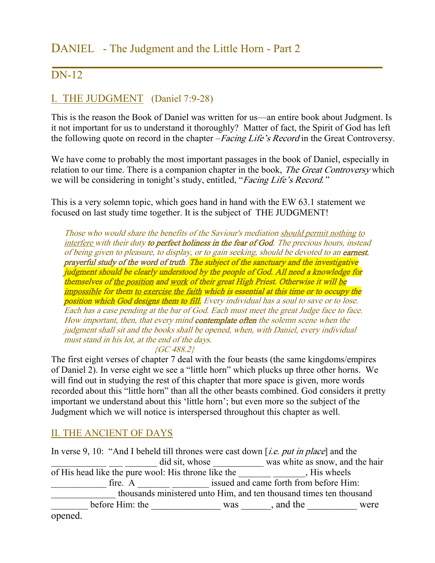# DANIEL - The Judgment and the Little Horn - Part 2

## DN-12

### I. THE JUDGMENT (Daniel 7:9-28)

This is the reason the Book of Daniel was written for us—an entire book about Judgment. Is it not important for us to understand it thoroughly? Matter of fact, the Spirit of God has left the following quote on record in the chapter –*Facing Life's Record* in the Great Controversy.

We have come to probably the most important passages in the book of Daniel, especially in relation to our time. There is a companion chapter in the book, *The Great Controversy* which we will be considering in tonight's study, entitled, "Facing Life's Record."

This is a very solemn topic, which goes hand in hand with the EW 63.1 statement we focused on last study time together. It is the subject of THE JUDGMENT!

Those who would share the benefits of the Saviour's mediation should permit nothing to interfere with their duty to perfect holiness in the fear of God. The precious hours, instead of being given to pleasure, to display, or to gain seeking, should be devoted to an **earnest**, prayerful study of the word of truth. The subject of the sanctuary and the investigative judgment should be clearly understood by the people of God. All need a knowledge for themselves of the position and work of their great High Priest. Otherwise it will be impossible for them to exercise the faith which is essential at this time or to occupy the position which God designs them to fill. Every individual has a soul to save or to lose. Each has a case pending at the bar of God. Each must meet the great Judge face to face. How important, then, that every mind **contemplate often** the solemn scene when the judgment shall sit and the books shall be opened, when, with Daniel, every individual must stand in his lot, at the end of the days. {GC 488.2}

The first eight verses of chapter 7 deal with the four beasts (the same kingdoms/empires of Daniel 2). In verse eight we see a "little horn" which plucks up three other horns. We will find out in studying the rest of this chapter that more space is given, more words recorded about this "little horn" than all the other beasts combined. God considers it pretty important we understand about this 'little horn'; but even more so the subject of the Judgment which we will notice is interspersed throughout this chapter as well.

#### II. THE ANCIENT OF DAYS

In verse 9, 10: "And I beheld till thrones were cast down [*i.e. put in place*] and the \_\_\_\_\_\_\_\_\_\_\_ did sit, whose \_\_\_\_\_\_\_\_\_\_\_\_\_ was white as snow, and the hair of His head like the pure wool: His throne like the  $\_\_\_\_\_\_\_\_\_\_\_\$  His wheels \_\_\_\_\_\_\_\_\_\_\_\_ fire. A \_\_\_\_\_\_\_ \_\_\_\_\_\_\_\_ issued and came forth from before Him: \_\_\_\_\_\_\_\_\_\_\_\_\_\_ thousands ministered unto Him, and ten thousand times ten thousand Let before Him: the <u>same and was see</u> and the same were were opened.